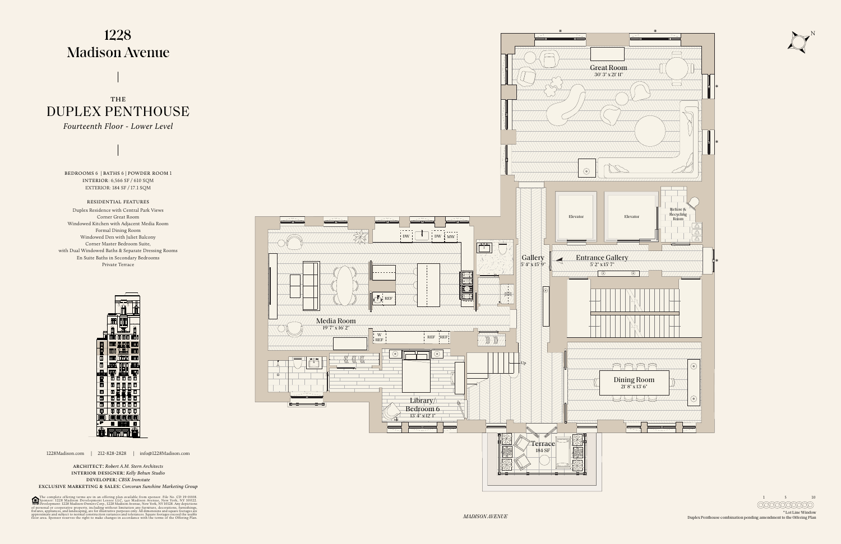N

1228Madison.com | 212-828-2828 | info@1228Madison.com

architect: *Robert A.M. Stern Architects* interior designer: *Kelly Behun Studio* developer: *CBSK Ironstate*

exclusive marketing & sales: *Corcoran Sunshine Marketing Group*

The complete offering terms are in an offering plan available from sponsor. File No. CD 19-0008.<br>Sponsor: 1228 Madison Development Lessee LLC, 540 Madison Avenue, New York, NY 10022.<br>Development: 1228 Madison Owners Corp.,

## 1228 **Madison Avenue**

DUPLEX PENTHOUSE THE

1 5 10 0000000000

bedrooms 6 | baths 6 | powder room 1 interior: 6,566 SF / 610 SQM EXTERIOR: 184 SF / 17.1 SQM



## residential features

Duplex Residence with Central Park Views Corner Great Room Windowed Kitchen with Adjacent Media Room Formal Dining Room Windowed Den with Juliet Balcony Corner Master Bedroom Suite, with Dual Windowed Baths & Separate Dressing Rooms En Suite Baths in Secondary Bedrooms Private Terrace